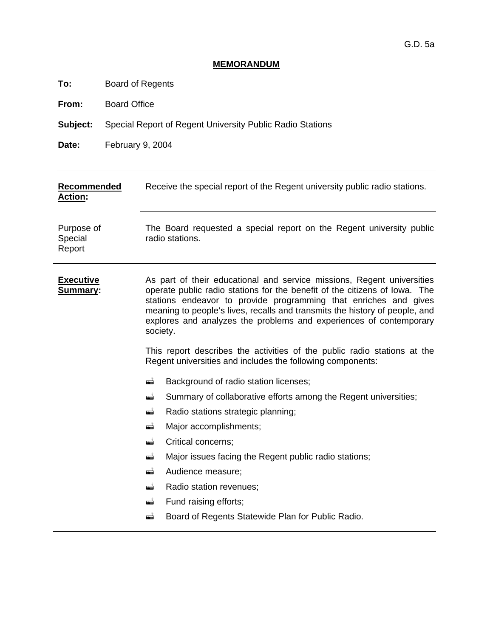# **MEMORANDUM**

**To:** Board of Regents

**From:** Board Office

**Subject:** Special Report of Regent University Public Radio Stations

**Date:** February 9, 2004

| <b>Recommended</b><br><b>Action:</b> | Receive the special report of the Regent university public radio stations.                                                                                                                                                                                                                                                                                                                                                                                                                                                          |  |  |  |  |  |
|--------------------------------------|-------------------------------------------------------------------------------------------------------------------------------------------------------------------------------------------------------------------------------------------------------------------------------------------------------------------------------------------------------------------------------------------------------------------------------------------------------------------------------------------------------------------------------------|--|--|--|--|--|
| Purpose of<br>Special<br>Report      | The Board requested a special report on the Regent university public<br>radio stations.                                                                                                                                                                                                                                                                                                                                                                                                                                             |  |  |  |  |  |
| <b>Executive</b><br><b>Summary:</b>  | As part of their educational and service missions, Regent universities<br>operate public radio stations for the benefit of the citizens of lowa. The<br>stations endeavor to provide programming that enriches and gives<br>meaning to people's lives, recalls and transmits the history of people, and<br>explores and analyzes the problems and experiences of contemporary<br>society.<br>This report describes the activities of the public radio stations at the<br>Regent universities and includes the following components: |  |  |  |  |  |
|                                      | Background of radio station licenses;<br>۳Ť<br>Summary of collaborative efforts among the Regent universities;<br>▄<br>Radio stations strategic planning;<br>۵Ò<br>Major accomplishments;<br>æÌ<br>Critical concerns;<br>æĬ<br>Major issues facing the Regent public radio stations;<br>æ<br>Audience measure;<br>▄<br>Radio station revenues;<br>۳Ì<br>Fund raising efforts;<br>æĬ<br>Board of Regents Statewide Plan for Public Radio.<br>æ                                                                                       |  |  |  |  |  |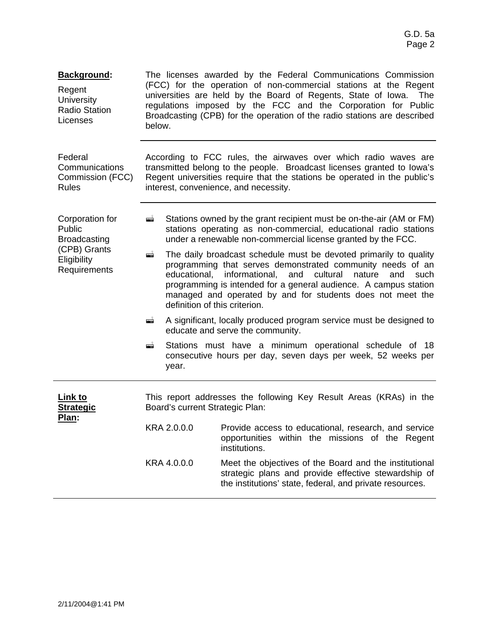| <b>Background:</b><br>Regent<br><b>University</b><br><b>Radio Station</b><br>Licenses | The licenses awarded by the Federal Communications Commission<br>(FCC) for the operation of non-commercial stations at the Regent<br>universities are held by the Board of Regents, State of Iowa. The<br>regulations imposed by the FCC and the Corporation for Public<br>Broadcasting (CPB) for the operation of the radio stations are described<br>below. |                                                                                                                                                                                                                                                                                                                                                                                  |  |  |  |  |  |
|---------------------------------------------------------------------------------------|---------------------------------------------------------------------------------------------------------------------------------------------------------------------------------------------------------------------------------------------------------------------------------------------------------------------------------------------------------------|----------------------------------------------------------------------------------------------------------------------------------------------------------------------------------------------------------------------------------------------------------------------------------------------------------------------------------------------------------------------------------|--|--|--|--|--|
| Federal<br>Communications<br>Commission (FCC)<br><b>Rules</b>                         |                                                                                                                                                                                                                                                                                                                                                               | According to FCC rules, the airwaves over which radio waves are<br>transmitted belong to the people. Broadcast licenses granted to lowa's<br>Regent universities require that the stations be operated in the public's<br>interest, convenience, and necessity.                                                                                                                  |  |  |  |  |  |
| Corporation for<br>Public<br><b>Broadcasting</b>                                      | è                                                                                                                                                                                                                                                                                                                                                             | Stations owned by the grant recipient must be on-the-air (AM or FM)<br>stations operating as non-commercial, educational radio stations<br>under a renewable non-commercial license granted by the FCC.                                                                                                                                                                          |  |  |  |  |  |
| (CPB) Grants<br>Eligibility<br>Requirements                                           | gji                                                                                                                                                                                                                                                                                                                                                           | The daily broadcast schedule must be devoted primarily to quality<br>programming that serves demonstrated community needs of an<br>cultural<br>educational.<br>informational,<br>and<br>nature<br>and<br>such<br>programming is intended for a general audience. A campus station<br>managed and operated by and for students does not meet the<br>definition of this criterion. |  |  |  |  |  |
|                                                                                       | ė                                                                                                                                                                                                                                                                                                                                                             | A significant, locally produced program service must be designed to<br>educate and serve the community.                                                                                                                                                                                                                                                                          |  |  |  |  |  |
|                                                                                       | Stations must have a minimum operational schedule of 18<br>▄<br>consecutive hours per day, seven days per week, 52 weeks per<br>year.                                                                                                                                                                                                                         |                                                                                                                                                                                                                                                                                                                                                                                  |  |  |  |  |  |
| <u>Link to</u><br><b>Strategic</b><br>Plan:                                           | Board's current Strategic Plan:                                                                                                                                                                                                                                                                                                                               | This report addresses the following Key Result Areas (KRAs) in the                                                                                                                                                                                                                                                                                                               |  |  |  |  |  |
|                                                                                       |                                                                                                                                                                                                                                                                                                                                                               | KRA 2.0.0.0 Provide access to educational, research, and service<br>opportunities within the missions of the Regent<br>institutions.                                                                                                                                                                                                                                             |  |  |  |  |  |
|                                                                                       | KRA 4.0.0.0<br>Meet the objectives of the Board and the institutional<br>strategic plans and provide effective stewardship of<br>the institutions' state, federal, and private resources.                                                                                                                                                                     |                                                                                                                                                                                                                                                                                                                                                                                  |  |  |  |  |  |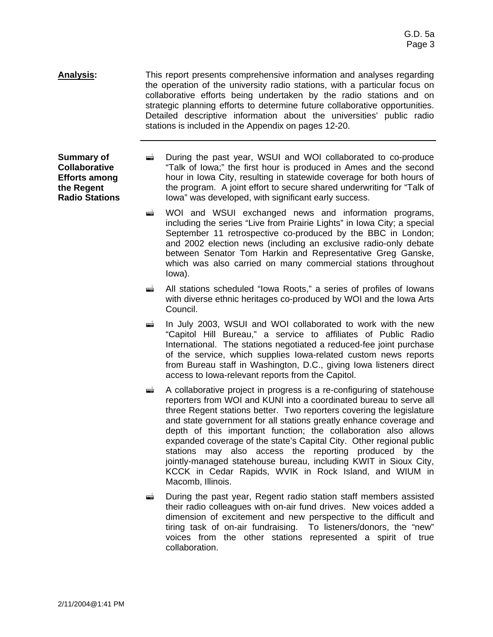**Analysis:** This report presents comprehensive information and analyses regarding the operation of the university radio stations, with a particular focus on collaborative efforts being undertaken by the radio stations and on strategic planning efforts to determine future collaborative opportunities. Detailed descriptive information about the universities' public radio stations is included in the Appendix on pages 12-20.

**Summary of Collaborative Efforts among the Regent Radio Stations**

- $\vec{r}$  During the past year, WSUI and WOI collaborated to co-produce "Talk of Iowa;" the first hour is produced in Ames and the second hour in Iowa City, resulting in statewide coverage for both hours of the program. A joint effort to secure shared underwriting for "Talk of Iowa" was developed, with significant early success.
	- $\vec{r}$  WOI and WSUI exchanged news and information programs, including the series "Live from Prairie Lights" in Iowa City; a special September 11 retrospective co-produced by the BBC in London; and 2002 election news (including an exclusive radio-only debate between Senator Tom Harkin and Representative Greg Ganske, which was also carried on many commercial stations throughout Iowa).
	- **E** All stations scheduled "Iowa Roots," a series of profiles of Iowans with diverse ethnic heritages co-produced by WOI and the Iowa Arts Council.
	- $\frac{1}{2}$  In July 2003, WSUI and WOI collaborated to work with the new "Capitol Hill Bureau," a service to affiliates of Public Radio International. The stations negotiated a reduced-fee joint purchase of the service, which supplies Iowa-related custom news reports from Bureau staff in Washington, D.C., giving Iowa listeners direct access to Iowa-relevant reports from the Capitol.
	- $\triangleq$  A collaborative project in progress is a re-configuring of statehouse reporters from WOI and KUNI into a coordinated bureau to serve all three Regent stations better. Two reporters covering the legislature and state government for all stations greatly enhance coverage and depth of this important function; the collaboration also allows expanded coverage of the state's Capital City. Other regional public stations may also access the reporting produced by the jointly-managed statehouse bureau, including KWIT in Sioux City, KCCK in Cedar Rapids, WVIK in Rock Island, and WIUM in Macomb, Illinois.
	- $\vec{r}$  During the past year, Regent radio station staff members assisted their radio colleagues with on-air fund drives. New voices added a dimension of excitement and new perspective to the difficult and tiring task of on-air fundraising. To listeners/donors, the "new" voices from the other stations represented a spirit of true collaboration.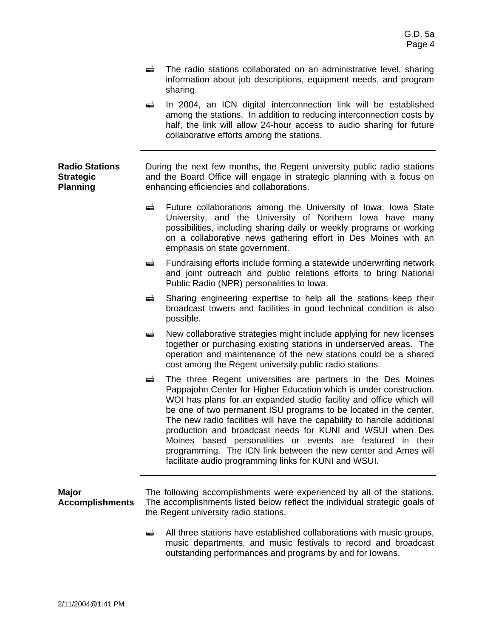- $\equiv$  The radio stations collaborated on an administrative level, sharing information about job descriptions, equipment needs, and program sharing.
- $\equiv$  In 2004, an ICN digital interconnection link will be established among the stations. In addition to reducing interconnection costs by half, the link will allow 24-hour access to audio sharing for future collaborative efforts among the stations.

#### **Radio Stations Strategic Planning** During the next few months, the Regent university public radio stations and the Board Office will engage in strategic planning with a focus on enhancing efficiencies and collaborations.

- **Example 3** Future collaborations among the University of Iowa, Iowa State University, and the University of Northern Iowa have many possibilities, including sharing daily or weekly programs or working on a collaborative news gathering effort in Des Moines with an emphasis on state government.
- $\equiv$  Fundraising efforts include forming a statewide underwriting network and joint outreach and public relations efforts to bring National Public Radio (NPR) personalities to Iowa.
- $\equiv$  Sharing engineering expertise to help all the stations keep their broadcast towers and facilities in good technical condition is also possible.
- $\triangleq$  New collaborative strategies might include applying for new licenses together or purchasing existing stations in underserved areas. The operation and maintenance of the new stations could be a shared cost among the Regent university public radio stations.
- **I** The three Regent universities are partners in the Des Moines Pappajohn Center for Higher Education which is under construction. WOI has plans for an expanded studio facility and office which will be one of two permanent ISU programs to be located in the center. The new radio facilities will have the capability to handle additional production and broadcast needs for KUNI and WSUI when Des Moines based personalities or events are featured in their programming. The ICN link between the new center and Ames will facilitate audio programming links for KUNI and WSUI.

#### **Major Accomplishments**  The following accomplishments were experienced by all of the stations. The accomplishments listed below reflect the individual strategic goals of the Regent university radio stations.

 $\triangleq$  All three stations have established collaborations with music groups, music departments, and music festivals to record and broadcast outstanding performances and programs by and for Iowans.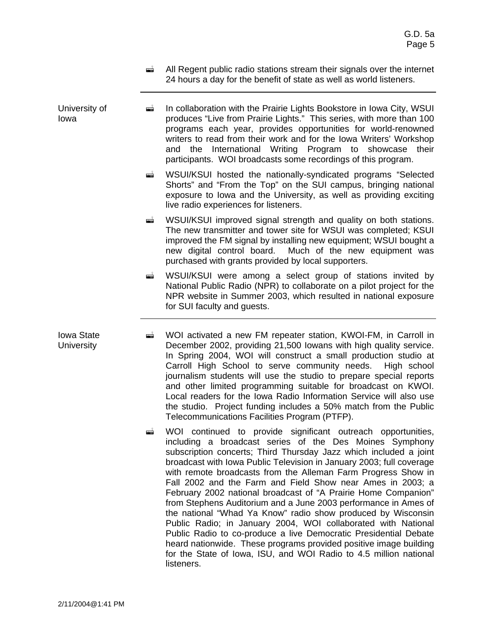- $\triangleq$  All Regent public radio stations stream their signals over the internet 24 hours a day for the benefit of state as well as world listeners.
- University of Iowa **E** In collaboration with the Prairie Lights Bookstore in Iowa City, WSUI produces "Live from Prairie Lights." This series, with more than 100 programs each year, provides opportunities for world-renowned writers to read from their work and for the Iowa Writers' Workshop and the International Writing Program to showcase their participants. WOI broadcasts some recordings of this program.
	- **EXTED WAS INTERFED WATERS** WAS UITKEND MOST MUST METAL MOST MUST MUST METAL MUST MUST SELECTED MUST MUST MUST SELECTED Shorts" and "From the Top" on the SUI campus, bringing national exposure to Iowa and the University, as well as providing exciting live radio experiences for listeners.
	- $\blacksquare$  WSUI/KSUI improved signal strength and quality on both stations. The new transmitter and tower site for WSUI was completed; KSUI improved the FM signal by installing new equipment; WSUI bought a new digital control board. Much of the new equipment was purchased with grants provided by local supporters.
	- $\vec{r}$  WSUI/KSUI were among a select group of stations invited by National Public Radio (NPR) to collaborate on a pilot project for the NPR website in Summer 2003, which resulted in national exposure for SUI faculty and guests.
	- ! WOI activated a new FM repeater station, KWOI-FM, in Carroll in December 2002, providing 21,500 Iowans with high quality service. In Spring 2004, WOI will construct a small production studio at Carroll High School to serve community needs. High school journalism students will use the studio to prepare special reports and other limited programming suitable for broadcast on KWOI. Local readers for the Iowa Radio Information Service will also use the studio. Project funding includes a 50% match from the Public Telecommunications Facilities Program (PTFP).
		- **E** WOI continued to provide significant outreach opportunities, including a broadcast series of the Des Moines Symphony subscription concerts; Third Thursday Jazz which included a joint broadcast with Iowa Public Television in January 2003; full coverage with remote broadcasts from the Alleman Farm Progress Show in Fall 2002 and the Farm and Field Show near Ames in 2003; a February 2002 national broadcast of "A Prairie Home Companion" from Stephens Auditorium and a June 2003 performance in Ames of the national "Whad Ya Know" radio show produced by Wisconsin Public Radio; in January 2004, WOI collaborated with National Public Radio to co-produce a live Democratic Presidential Debate heard nationwide. These programs provided positive image building for the State of Iowa, ISU, and WOI Radio to 4.5 million national listeners.
- 

Iowa State **University**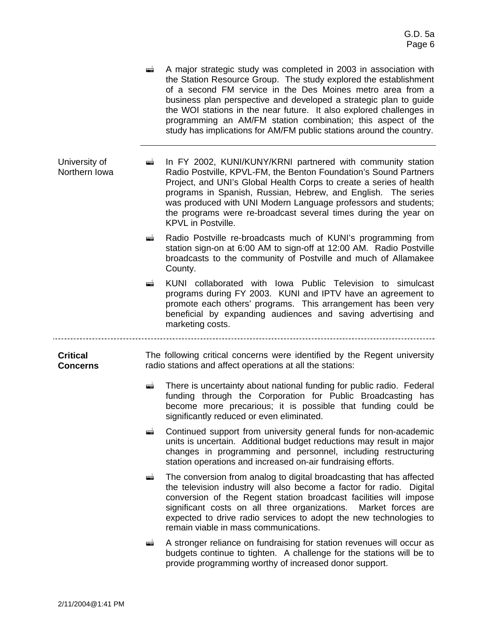- $\triangleq$  A major strategic study was completed in 2003 in association with the Station Resource Group. The study explored the establishment of a second FM service in the Des Moines metro area from a business plan perspective and developed a strategic plan to guide the WOI stations in the near future. It also explored challenges in programming an AM/FM station combination; this aspect of the study has implications for AM/FM public stations around the country.
- University of Northern Iowa **i** In FY 2002, KUNI/KUNY/KRNI partnered with community station Radio Postville, KPVL-FM, the Benton Foundation's Sound Partners Project, and UNI's Global Health Corps to create a series of health programs in Spanish, Russian, Hebrew, and English. The series was produced with UNI Modern Language professors and students; the programs were re-broadcast several times during the year on KPVL in Postville.
	- Radio Postville re-broadcasts much of KUNI's programming from station sign-on at 6:00 AM to sign-off at 12:00 AM. Radio Postville broadcasts to the community of Postville and much of Allamakee County.
	- **E** KUNI collaborated with Iowa Public Television to simulcast programs during FY 2003. KUNI and IPTV have an agreement to promote each others' programs. This arrangement has been very beneficial by expanding audiences and saving advertising and marketing costs.

**Critical Concerns** The following critical concerns were identified by the Regent university radio stations and affect operations at all the stations:

- $\blacksquare$  There is uncertainty about national funding for public radio. Federal funding through the Corporation for Public Broadcasting has become more precarious; it is possible that funding could be significantly reduced or even eliminated.
- **EXECONTITY CONTINUED SUPPORT from university general funds for non-academic** units is uncertain. Additional budget reductions may result in major changes in programming and personnel, including restructuring station operations and increased on-air fundraising efforts.
- **The conversion from analog to digital broadcasting that has affected** the television industry will also become a factor for radio. Digital conversion of the Regent station broadcast facilities will impose significant costs on all three organizations. Market forces are expected to drive radio services to adopt the new technologies to remain viable in mass communications.
- $\mathbf{A}$  Stronger reliance on fundraising for station revenues will occur as budgets continue to tighten. A challenge for the stations will be to provide programming worthy of increased donor support.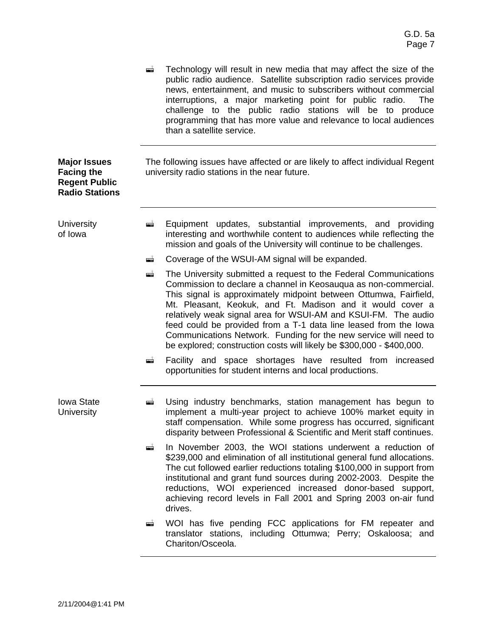|                                                                                           | æ   | Technology will result in new media that may affect the size of the<br>public radio audience. Satellite subscription radio services provide<br>news, entertainment, and music to subscribers without commercial<br>interruptions, a major marketing point for public radio.<br>The<br>challenge to the public radio stations will be to produce<br>programming that has more value and relevance to local audiences<br>than a satellite service.                                                                                                          |
|-------------------------------------------------------------------------------------------|-----|-----------------------------------------------------------------------------------------------------------------------------------------------------------------------------------------------------------------------------------------------------------------------------------------------------------------------------------------------------------------------------------------------------------------------------------------------------------------------------------------------------------------------------------------------------------|
| <b>Major Issues</b><br><b>Facing the</b><br><b>Regent Public</b><br><b>Radio Stations</b> |     | The following issues have affected or are likely to affect individual Regent<br>university radio stations in the near future.                                                                                                                                                                                                                                                                                                                                                                                                                             |
| University<br>of Iowa                                                                     | Ť   | Equipment updates, substantial improvements, and providing<br>interesting and worthwhile content to audiences while reflecting the<br>mission and goals of the University will continue to be challenges.                                                                                                                                                                                                                                                                                                                                                 |
|                                                                                           | ▄   | Coverage of the WSUI-AM signal will be expanded.                                                                                                                                                                                                                                                                                                                                                                                                                                                                                                          |
|                                                                                           | gji | The University submitted a request to the Federal Communications<br>Commission to declare a channel in Keosauqua as non-commercial.<br>This signal is approximately midpoint between Ottumwa, Fairfield,<br>Mt. Pleasant, Keokuk, and Ft. Madison and it would cover a<br>relatively weak signal area for WSUI-AM and KSUI-FM. The audio<br>feed could be provided from a T-1 data line leased from the lowa<br>Communications Network. Funding for the new service will need to<br>be explored; construction costs will likely be \$300,000 - \$400,000. |
|                                                                                           | æÎ. | Facility and space shortages have resulted from increased<br>opportunities for student interns and local productions.                                                                                                                                                                                                                                                                                                                                                                                                                                     |
| <b>Iowa State</b><br><b>University</b>                                                    | ▅   | Using industry benchmarks, station management has begun to<br>implement a multi-year project to achieve 100% market equity in<br>staff compensation. While some progress has occurred, significant<br>disparity between Professional & Scientific and Merit staff continues.                                                                                                                                                                                                                                                                              |
|                                                                                           | ۵Ì  | In November 2003, the WOI stations underwent a reduction of<br>\$239,000 and elimination of all institutional general fund allocations.<br>The cut followed earlier reductions totaling \$100,000 in support from<br>institutional and grant fund sources during 2002-2003. Despite the<br>reductions, WOI experienced increased donor-based support,<br>achieving record levels in Fall 2001 and Spring 2003 on-air fund<br>drives.                                                                                                                      |
|                                                                                           | ▄   | WOI has five pending FCC applications for FM repeater and<br>translator stations, including Ottumwa; Perry; Oskaloosa; and<br>Chariton/Osceola.                                                                                                                                                                                                                                                                                                                                                                                                           |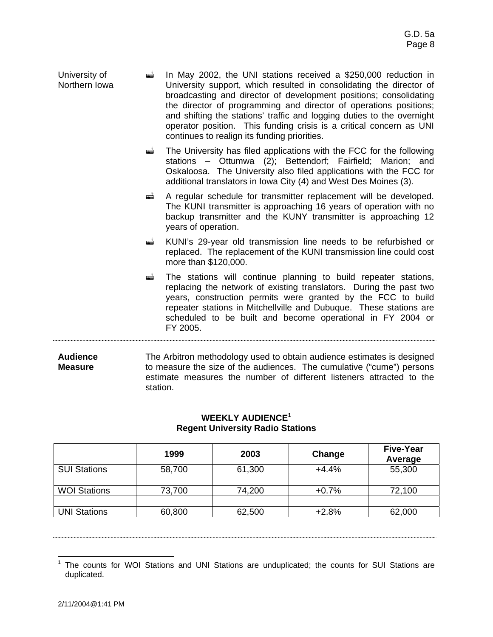| University of | $\equiv$ In May 2002, the UNI stations received a \$250,000 reduction in |
|---------------|--------------------------------------------------------------------------|
| Northern Iowa | University support, which resulted in consolidating the director of      |
|               | broadcasting and director of development positions; consolidating        |
|               | the director of programming and director of operations positions;        |
|               | and shifting the stations' traffic and logging duties to the overnight   |
|               | operator position. This funding crisis is a critical concern as UNI      |
|               | continues to realign its funding priorities.                             |

 $\vec{r}$  The University has filed applications with the FCC for the following stations – Ottumwa (2); Bettendorf; Fairfield; Marion; and Oskaloosa. The University also filed applications with the FCC for additional translators in Iowa City (4) and West Des Moines (3).

- **EXECUTE:** A regular schedule for transmitter replacement will be developed. The KUNI transmitter is approaching 16 years of operation with no backup transmitter and the KUNY transmitter is approaching 12 years of operation.
- ! KUNI's 29-year old transmission line needs to be refurbished or replaced. The replacement of the KUNI transmission line could cost more than \$120,000.
- $\equiv$  The stations will continue planning to build repeater stations, replacing the network of existing translators. During the past two years, construction permits were granted by the FCC to build repeater stations in Mitchellville and Dubuque. These stations are scheduled to be built and become operational in FY 2004 or FY 2005.

**Audience Measure** The Arbitron methodology used to obtain audience estimates is designed to measure the size of the audiences. The cumulative ("cume") persons estimate measures the number of different listeners attracted to the station.

| <b>WEEKLY AUDIENCE<sup>1</sup></b>      |
|-----------------------------------------|
| <b>Regent University Radio Stations</b> |

|                     | 1999   | 2003   | Change  | <b>Five-Year</b><br>Average |
|---------------------|--------|--------|---------|-----------------------------|
| <b>SUI Stations</b> | 58,700 | 61,300 | $+4.4%$ | 55,300                      |
|                     |        |        |         |                             |
| <b>WOI Stations</b> | 73,700 | 74,200 | $+0.7%$ | 72,100                      |
|                     |        |        |         |                             |
| <b>UNI Stations</b> | 60,800 | 62,500 | $+2.8%$ | 62,000                      |

<sup>1</sup> The counts for WOI Stations and UNI Stations are unduplicated; the counts for SUI Stations are duplicated.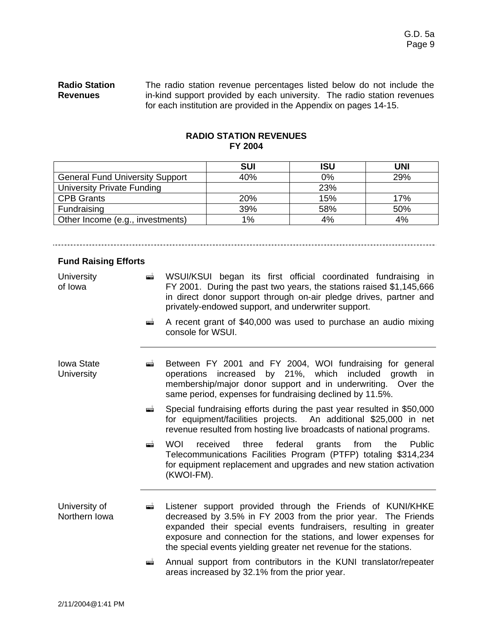................................

#### **Radio Station Revenues** The radio station revenue percentages listed below do not include the in-kind support provided by each university. The radio station revenues for each institution are provided in the Appendix on pages 14-15.

### **RADIO STATION REVENUES FY 2004**

|                                        | <b>SUI</b> | <b>ISU</b> | UNI |
|----------------------------------------|------------|------------|-----|
| <b>General Fund University Support</b> | 40%        | 0%         | 29% |
| <b>University Private Funding</b>      |            | 23%        |     |
| <b>CPB Grants</b>                      | 20%        | 15%        | 17% |
| Fundraising                            | 39%        | 58%        | 50% |
| Other Income (e.g., investments)       | 1%         | 4%         | 4%  |

## **Fund Raising Efforts**

| University<br>of Iowa           | $\blacksquare$ | WSUI/KSUI began its first official coordinated fundraising in<br>FY 2001. During the past two years, the stations raised \$1,145,666<br>in direct donor support through on-air pledge drives, partner and<br>privately-endowed support, and underwriter support.                                                                        |  |  |  |  |  |
|---------------------------------|----------------|-----------------------------------------------------------------------------------------------------------------------------------------------------------------------------------------------------------------------------------------------------------------------------------------------------------------------------------------|--|--|--|--|--|
|                                 | ▄              | A recent grant of \$40,000 was used to purchase an audio mixing<br>console for WSUI.                                                                                                                                                                                                                                                    |  |  |  |  |  |
| <b>Iowa State</b><br>University | ▄              | Between FY 2001 and FY 2004, WOI fundraising for general<br>operations increased by 21%, which included<br>growth<br>in.<br>membership/major donor support and in underwriting. Over the<br>same period, expenses for fundraising declined by 11.5%.                                                                                    |  |  |  |  |  |
|                                 | æ              | Special fundraising efforts during the past year resulted in \$50,000<br>for equipment/facilities projects. An additional \$25,000 in net<br>revenue resulted from hosting live broadcasts of national programs.                                                                                                                        |  |  |  |  |  |
|                                 | $\blacksquare$ | <b>WOI</b><br>federal<br>received<br>three<br>grants<br>from<br>Public<br>the<br>Telecommunications Facilities Program (PTFP) totaling \$314,234<br>for equipment replacement and upgrades and new station activation<br>(KWOI-FM).                                                                                                     |  |  |  |  |  |
| University of<br>Northern Iowa  | æ              | Listener support provided through the Friends of KUNI/KHKE<br>decreased by 3.5% in FY 2003 from the prior year. The Friends<br>expanded their special events fundraisers, resulting in greater<br>exposure and connection for the stations, and lower expenses for<br>the special events yielding greater net revenue for the stations. |  |  |  |  |  |
|                                 | æ              | Annual support from contributors in the KUNI translator/repeater<br>areas increased by 32.1% from the prior year.                                                                                                                                                                                                                       |  |  |  |  |  |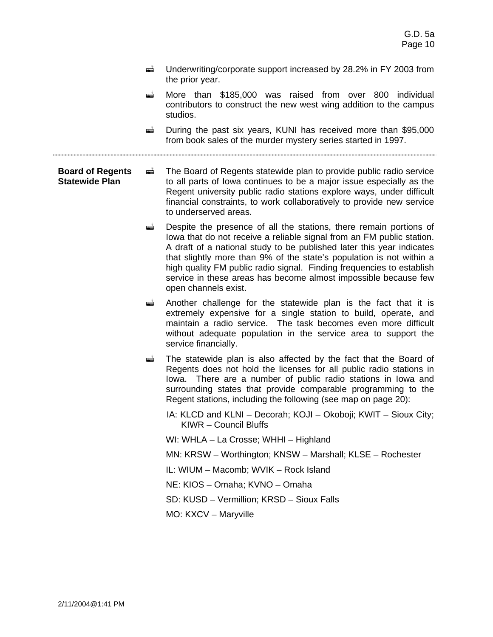- $\equiv$  Underwriting/corporate support increased by 28.2% in FY 2003 from the prior year.
- **E** More than \$185,000 was raised from over 800 individual contributors to construct the new west wing addition to the campus studios.

**E** During the past six years, KUNI has received more than \$95,000 from book sales of the murder mystery series started in 1997.

**Board of Regents Statewide Plan**   $\blacksquare$  The Board of Regents statewide plan to provide public radio service to all parts of Iowa continues to be a major issue especially as the Regent university public radio stations explore ways, under difficult financial constraints, to work collaboratively to provide new service to underserved areas.

- $\blacksquare$  Despite the presence of all the stations, there remain portions of Iowa that do not receive a reliable signal from an FM public station. A draft of a national study to be published later this year indicates that slightly more than 9% of the state's population is not within a high quality FM public radio signal. Finding frequencies to establish service in these areas has become almost impossible because few open channels exist.
- **Example 2** Another challenge for the statewide plan is the fact that it is extremely expensive for a single station to build, operate, and maintain a radio service. The task becomes even more difficult without adequate population in the service area to support the service financially.
- $\vec{r}$  The statewide plan is also affected by the fact that the Board of Regents does not hold the licenses for all public radio stations in Iowa. There are a number of public radio stations in Iowa and surrounding states that provide comparable programming to the Regent stations, including the following (see map on page 20):
	- IA: KLCD and KLNI Decorah; KOJI Okoboji; KWIT Sioux City; KIWR – Council Bluffs

WI: WHLA – La Crosse; WHHI – Highland

MN: KRSW – Worthington; KNSW – Marshall; KLSE – Rochester

IL: WIUM – Macomb; WVIK – Rock Island

NE: KIOS – Omaha; KVNO – Omaha

SD: KUSD – Vermillion; KRSD – Sioux Falls

MO: KXCV – Maryville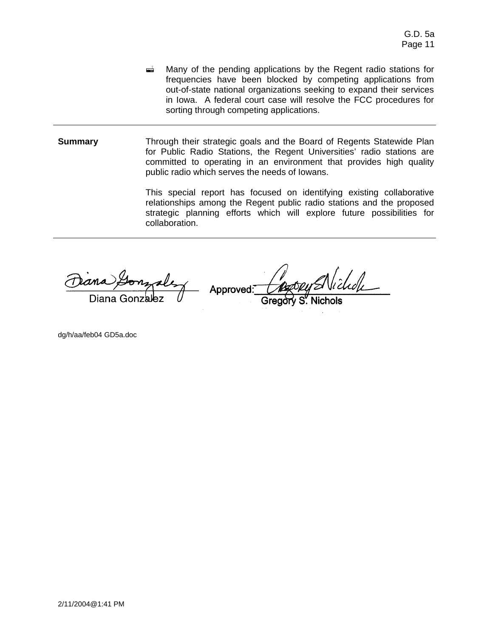- $\triangleq$  Many of the pending applications by the Regent radio stations for frequencies have been blocked by competing applications from out-of-state national organizations seeking to expand their services in Iowa. A federal court case will resolve the FCC procedures for sorting through competing applications.
- **Summary Through their strategic goals and the Board of Regents Statewide Plan** for Public Radio Stations, the Regent Universities' radio stations are committed to operating in an environment that provides high quality public radio which serves the needs of Iowans.

This special report has focused on identifying existing collaborative relationships among the Regent public radio stations and the proposed strategic planning efforts which will explore future possibilities for collaboration.

ana

Approved:

dg/h/aa/feb04 GD5a.doc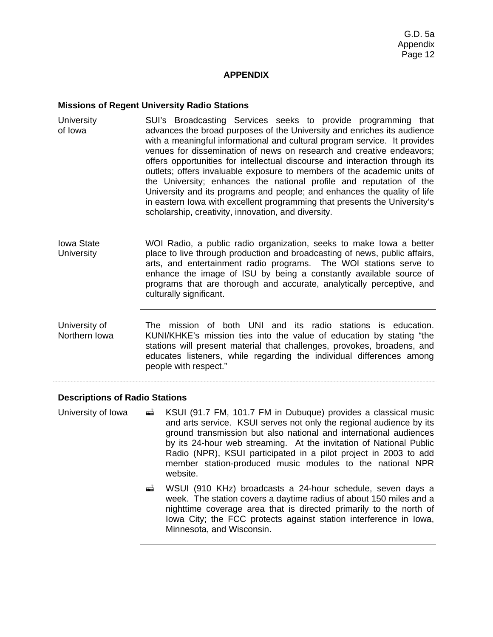### **APPENDIX**

#### **Missions of Regent University Radio Stations**

- **University** of Iowa SUI's Broadcasting Services seeks to provide programming that advances the broad purposes of the University and enriches its audience with a meaningful informational and cultural program service. It provides venues for dissemination of news on research and creative endeavors; offers opportunities for intellectual discourse and interaction through its outlets; offers invaluable exposure to members of the academic units of the University; enhances the national profile and reputation of the University and its programs and people; and enhances the quality of life in eastern Iowa with excellent programming that presents the University's scholarship, creativity, innovation, and diversity.
- Iowa State **University** WOI Radio, a public radio organization, seeks to make Iowa a better place to live through production and broadcasting of news, public affairs, arts, and entertainment radio programs. The WOI stations serve to enhance the image of ISU by being a constantly available source of programs that are thorough and accurate, analytically perceptive, and culturally significant.
- University of Northern Iowa The mission of both UNI and its radio stations is education. KUNI/KHKE's mission ties into the value of education by stating "the stations will present material that challenges, provokes, broadens, and educates listeners, while regarding the individual differences among people with respect."

#### **Descriptions of Radio Stations**

- University of Iowa  $\qquad \qquad \blacksquare$  KSUI (91.7 FM, 101.7 FM in Dubuque) provides a classical music and arts service. KSUI serves not only the regional audience by its ground transmission but also national and international audiences by its 24-hour web streaming. At the invitation of National Public Radio (NPR), KSUI participated in a pilot project in 2003 to add member station-produced music modules to the national NPR website.
	- **E** WSUI (910 KHz) broadcasts a 24-hour schedule, seven days a week. The station covers a daytime radius of about 150 miles and a nighttime coverage area that is directed primarily to the north of Iowa City; the FCC protects against station interference in Iowa, Minnesota, and Wisconsin.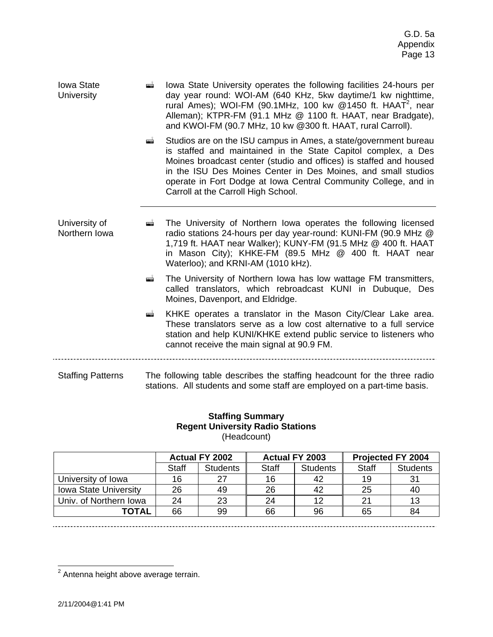| <b>Iowa State</b> | andro 19 | lowa State University operates the following facilities 24-hours per      |
|-------------------|----------|---------------------------------------------------------------------------|
| University        |          | day year round: WOI-AM (640 KHz, 5kw daytime/1 kw nighttime,              |
|                   |          | rural Ames); WOI-FM (90.1MHz, 100 kw $@1450$ ft. HAAT <sup>2</sup> , near |
|                   |          | Alleman); KTPR-FM (91.1 MHz @ 1100 ft. HAAT, near Bradgate),              |
|                   |          | and KWOI-FM (90.7 MHz, 10 kw @300 ft. HAAT, rural Carroll).               |

**EXTED:** Studios are on the ISU campus in Ames, a state/government bureau is staffed and maintained in the State Capitol complex, a Des Moines broadcast center (studio and offices) is staffed and housed in the ISU Des Moines Center in Des Moines, and small studios operate in Fort Dodge at Iowa Central Community College, and in Carroll at the Carroll High School.

University of Northern Iowa **I.** The University of Northern Iowa operates the following licensed radio stations 24-hours per day year-round: KUNI-FM (90.9 MHz @ 1,719 ft. HAAT near Walker); KUNY-FM (91.5 MHz @ 400 ft. HAAT in Mason City); KHKE-FM (89.5 MHz @ 400 ft. HAAT near Waterloo); and KRNI-AM (1010 kHz).

- **E** The University of Northern Iowa has low wattage FM transmitters, called translators, which rebroadcast KUNI in Dubuque, Des Moines, Davenport, and Eldridge.
- ! KHKE operates a translator in the Mason City/Clear Lake area. These translators serve as a low cost alternative to a full service station and help KUNI/KHKE extend public service to listeners who cannot receive the main signal at 90.9 FM.

Staffing Patterns The following table describes the staffing headcount for the three radio stations. All students and some staff are employed on a part-time basis.

### **Staffing Summary Regent University Radio Stations**  (Headcount)

|                              | Actual FY 2002 |                 | Actual FY 2003 |                 | Projected FY 2004 |                 |
|------------------------------|----------------|-----------------|----------------|-----------------|-------------------|-----------------|
|                              | <b>Staff</b>   | <b>Students</b> | <b>Staff</b>   | <b>Students</b> | <b>Staff</b>      | <b>Students</b> |
| University of Iowa           | 16             | 27              | 16             | 42              | 19                | 31              |
| <b>Iowa State University</b> | 26             | 49              | 26             | 42              | 25                | 40              |
| Univ. of Northern Iowa       | 24             | 23              | 24             | 12              | 21                | 13              |
| ΤΟΤΑL                        | 66             | 99              | 66             | 96              | 65                | 84              |

 $2$  Antenna height above average terrain.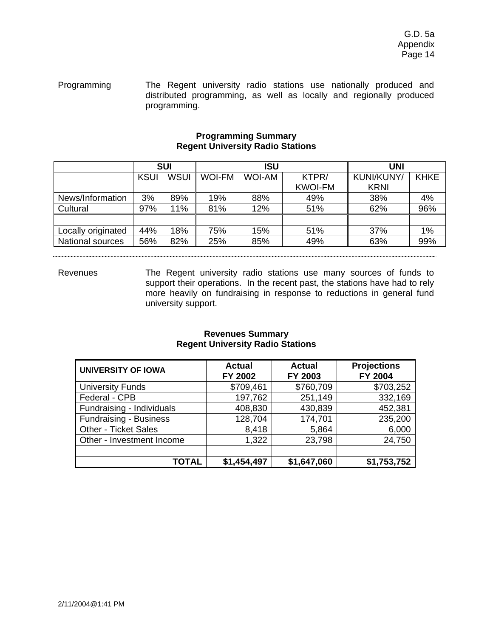Programming The Regent university radio stations use nationally produced and distributed programming, as well as locally and regionally produced programming.

### **Programming Summary Regent University Radio Stations**

|                         | <b>SUI</b>  |             | <b>ISU</b>    |               |                | UNI         |             |
|-------------------------|-------------|-------------|---------------|---------------|----------------|-------------|-------------|
|                         | <b>KSUI</b> | <b>WSUI</b> | <b>WOI-FM</b> | <b>WOI-AM</b> | KTPR/          | KUNI/KUNY/  | <b>KHKE</b> |
|                         |             |             |               |               | <b>KWOI-FM</b> | <b>KRNI</b> |             |
| News/Information        | 3%          | 89%         | 19%           | 88%           | 49%            | 38%         | 4%          |
| Cultural                | 97%         | 11%         | 81%           | 12%           | 51%            | 62%         | 96%         |
|                         |             |             |               |               |                |             |             |
| Locally originated      | 44%         | 18%         | 75%           | 15%           | 51%            | 37%         | 1%          |
| <b>National sources</b> | 56%         | 82%         | 25%           | 85%           | 49%            | 63%         | 99%         |

Revenues The Regent university radio stations use many sources of funds to support their operations. In the recent past, the stations have had to rely more heavily on fundraising in response to reductions in general fund university support.

#### **Revenues Summary Regent University Radio Stations**

| <b>UNIVERSITY OF IOWA</b>     | <b>Actual</b><br>FY 2002 | <b>Actual</b><br>FY 2003 | <b>Projections</b><br><b>FY 2004</b> |
|-------------------------------|--------------------------|--------------------------|--------------------------------------|
| <b>University Funds</b>       | \$709,461                | \$760,709                | \$703,252                            |
| Federal - CPB                 | 197,762                  | 251,149                  | 332,169                              |
| Fundraising - Individuals     | 408,830                  | 430,839                  | 452,381                              |
| <b>Fundraising - Business</b> | 128,704                  | 174,701                  | 235,200                              |
| <b>Other - Ticket Sales</b>   | 8,418                    | 5,864                    | 6,000                                |
| Other - Investment Income     | 1,322                    | 23,798                   | 24,750                               |
|                               |                          |                          |                                      |
| TOTAL                         | \$1,454,497              | \$1,647,060              | \$1,753,752                          |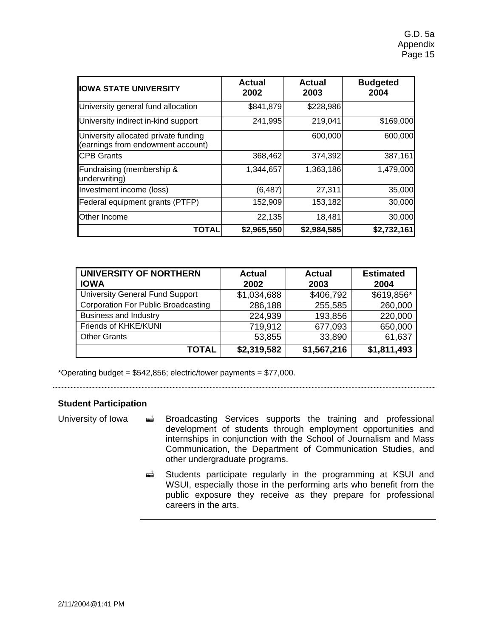| <b>IOWA STATE UNIVERSITY</b>                                              | Actual<br>2002 | <b>Actual</b><br>2003 | <b>Budgeted</b><br>2004 |
|---------------------------------------------------------------------------|----------------|-----------------------|-------------------------|
| University general fund allocation                                        | \$841,879      | \$228,986             |                         |
| University indirect in-kind support                                       | 241,995        | 219,041               | \$169,000               |
| University allocated private funding<br>(earnings from endowment account) |                | 600,000               | 600,000                 |
| <b>ICPB Grants</b>                                                        | 368,462        | 374,392               | 387,161                 |
| Fundraising (membership &<br>underwriting)                                | 1,344,657      | 1,363,186             | 1,479,000               |
| Investment income (loss)                                                  | (6, 487)       | 27,311                | 35,000                  |
| Federal equipment grants (PTFP)                                           | 152,909        | 153,182               | 30,000                  |
| Other Income                                                              | 22,135         | 18,481                | 30,000                  |
| <b>TOTAL</b>                                                              | \$2,965,550    | \$2,984,585           | \$2,732,161             |

| UNIVERSITY OF NORTHERN<br><b>IOWA</b>      | <b>Actual</b><br>2002 | <b>Actual</b><br>2003 | <b>Estimated</b><br>2004 |
|--------------------------------------------|-----------------------|-----------------------|--------------------------|
| <b>University General Fund Support</b>     | \$1,034,688           | \$406,792             | \$619,856*               |
| <b>Corporation For Public Broadcasting</b> | 286,188               | 255,585               | 260,000                  |
| <b>Business and Industry</b>               | 224,939               | 193,856               | 220,000                  |
| Friends of KHKE/KUNI                       | 719,912               | 677,093               | 650,000                  |
| <b>Other Grants</b>                        | 53,855                | 33,890                | 61,637                   |
| TOTAL                                      | \$2,319,582           | \$1,567,216           | \$1,811,493              |

\*Operating budget = \$542,856; electric/tower payments = \$77,000.

# 

#### **Student Participation**

- University of Iowa  $\vec{a}$  Broadcasting Services supports the training and professional development of students through employment opportunities and internships in conjunction with the School of Journalism and Mass Communication, the Department of Communication Studies, and other undergraduate programs.
	- ! Students participate regularly in the programming at KSUI and WSUI, especially those in the performing arts who benefit from the public exposure they receive as they prepare for professional careers in the arts.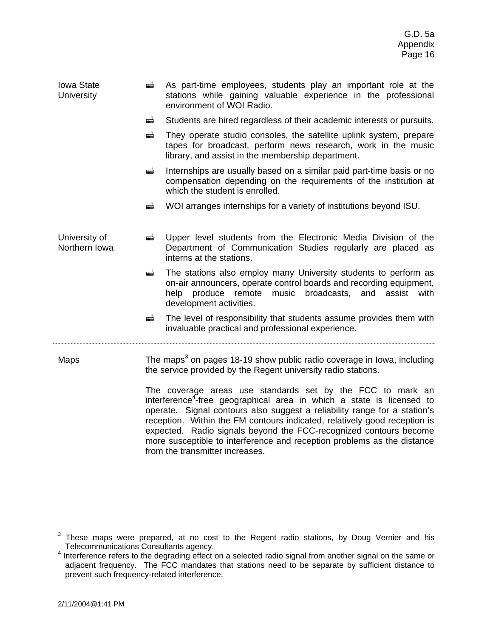| <b>Iowa State</b><br><b>University</b> | ▄                                                                                                                                                                                                                                                                                                                                                                                                                                                                                                                                                                                                                | As part-time employees, students play an important role at the<br>stations while gaining valuable experience in the professional<br>environment of WOI Radio.                                                                            |  |
|----------------------------------------|------------------------------------------------------------------------------------------------------------------------------------------------------------------------------------------------------------------------------------------------------------------------------------------------------------------------------------------------------------------------------------------------------------------------------------------------------------------------------------------------------------------------------------------------------------------------------------------------------------------|------------------------------------------------------------------------------------------------------------------------------------------------------------------------------------------------------------------------------------------|--|
|                                        | gji                                                                                                                                                                                                                                                                                                                                                                                                                                                                                                                                                                                                              | Students are hired regardless of their academic interests or pursuits.                                                                                                                                                                   |  |
|                                        | ė                                                                                                                                                                                                                                                                                                                                                                                                                                                                                                                                                                                                                | They operate studio consoles, the satellite uplink system, prepare<br>tapes for broadcast, perform news research, work in the music<br>library, and assist in the membership department.                                                 |  |
|                                        | gji                                                                                                                                                                                                                                                                                                                                                                                                                                                                                                                                                                                                              | Internships are usually based on a similar paid part-time basis or no<br>compensation depending on the requirements of the institution at<br>which the student is enrolled.                                                              |  |
|                                        | ▅                                                                                                                                                                                                                                                                                                                                                                                                                                                                                                                                                                                                                | WOI arranges internships for a variety of institutions beyond ISU.                                                                                                                                                                       |  |
| University of<br>Northern Iowa         | gji                                                                                                                                                                                                                                                                                                                                                                                                                                                                                                                                                                                                              | Upper level students from the Electronic Media Division of the<br>Department of Communication Studies regularly are placed as<br>interns at the stations.                                                                                |  |
|                                        | q                                                                                                                                                                                                                                                                                                                                                                                                                                                                                                                                                                                                                | The stations also employ many University students to perform as<br>on-air announcers, operate control boards and recording equipment,<br>broadcasts, and<br>produce<br>remote music<br>assist<br>help<br>with<br>development activities. |  |
|                                        | ۵Ť                                                                                                                                                                                                                                                                                                                                                                                                                                                                                                                                                                                                               | The level of responsibility that students assume provides them with<br>invaluable practical and professional experience.                                                                                                                 |  |
| Maps                                   | The maps <sup>3</sup> on pages 18-19 show public radio coverage in lowa, including<br>the service provided by the Regent university radio stations.<br>The coverage areas use standards set by the FCC to mark an<br>interference <sup>4</sup> -free geographical area in which a state is licensed to<br>operate. Signal contours also suggest a reliability range for a station's<br>reception. Within the FM contours indicated, relatively good reception is<br>expected. Radio signals beyond the FCC-recognized contours become<br>more susceptible to interference and reception problems as the distance |                                                                                                                                                                                                                                          |  |
|                                        |                                                                                                                                                                                                                                                                                                                                                                                                                                                                                                                                                                                                                  |                                                                                                                                                                                                                                          |  |

from the transmitter increases.

 3 These maps were prepared, at no cost to the Regent radio stations, by Doug Vernier and his Telecommunications Consultants agency.<br><sup>4</sup> Interference refers to the degrading effect a

Interference refers to the degrading effect on a selected radio signal from another signal on the same or adjacent frequency. The FCC mandates that stations need to be separate by sufficient distance to prevent such frequency-related interference.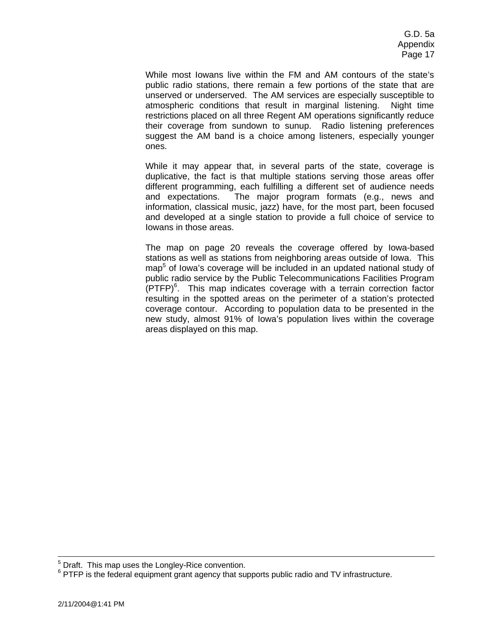While most Iowans live within the FM and AM contours of the state's public radio stations, there remain a few portions of the state that are unserved or underserved. The AM services are especially susceptible to atmospheric conditions that result in marginal listening. Night time restrictions placed on all three Regent AM operations significantly reduce their coverage from sundown to sunup. Radio listening preferences suggest the AM band is a choice among listeners, especially younger ones.

While it may appear that, in several parts of the state, coverage is duplicative, the fact is that multiple stations serving those areas offer different programming, each fulfilling a different set of audience needs and expectations. The major program formats (e.g., news and information, classical music, jazz) have, for the most part, been focused and developed at a single station to provide a full choice of service to Iowans in those areas.

The map on page 20 reveals the coverage offered by Iowa-based stations as well as stations from neighboring areas outside of Iowa. This map<sup>5</sup> of lowa's coverage will be included in an updated national study of public radio service by the Public Telecommunications Facilities Program  $(PTFP)^6$ . This map indicates coverage with a terrain correction factor resulting in the spotted areas on the perimeter of a station's protected coverage contour. According to population data to be presented in the new study, almost 91% of Iowa's population lives within the coverage areas displayed on this map.

<sup>—&</sup>lt;br>5  $^{\circ}$  Draft. This map uses the Longley-Rice convention.<br> $^{\circ}$  DTED is the foderal equipment grapt agapay that our

 $6$  PTFP is the federal equipment grant agency that supports public radio and TV infrastructure.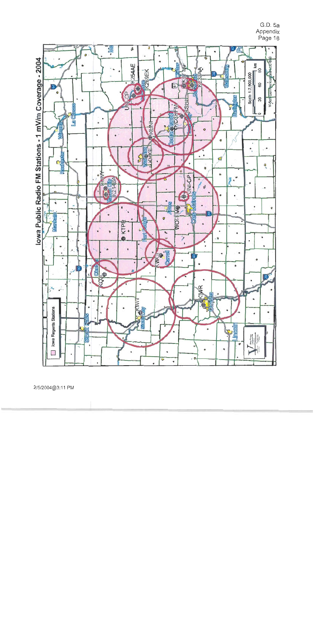G.D. 5a Appendix<br>Page 18



2/5/2004@3:11 PM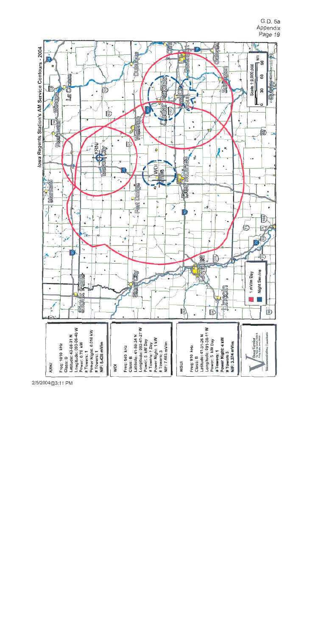G.D. 5a Appendix Page 19



2/5/2004@3:11 PM